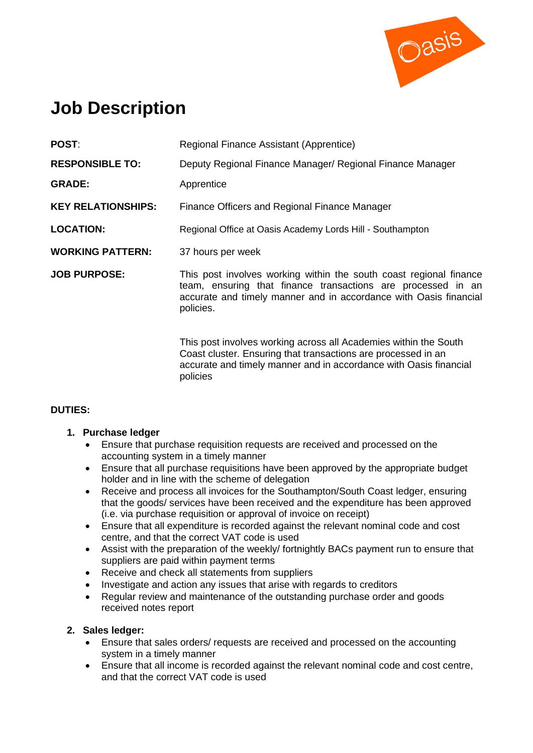

# **Job Description**

| POST:                     | Regional Finance Assistant (Apprentice)                                                                                                                                                                              |  |
|---------------------------|----------------------------------------------------------------------------------------------------------------------------------------------------------------------------------------------------------------------|--|
| <b>RESPONSIBLE TO:</b>    | Deputy Regional Finance Manager/ Regional Finance Manager                                                                                                                                                            |  |
| <b>GRADE:</b>             | Apprentice                                                                                                                                                                                                           |  |
| <b>KEY RELATIONSHIPS:</b> | Finance Officers and Regional Finance Manager                                                                                                                                                                        |  |
| <b>LOCATION:</b>          | Regional Office at Oasis Academy Lords Hill - Southampton                                                                                                                                                            |  |
| <b>WORKING PATTERN:</b>   | 37 hours per week                                                                                                                                                                                                    |  |
| <b>JOB PURPOSE:</b>       | This post involves working within the south coast regional finance<br>team, ensuring that finance transactions are processed in an<br>accurate and timely manner and in accordance with Oasis financial<br>policies. |  |
|                           | This post involves working across all Academies within the South<br>Coast cluster. Ensuring that transactions are processed in an<br>accurate and timely manner and in accordance with Oasis financial               |  |

## **DUTIES:**

## **1. Purchase ledger**

- Ensure that purchase requisition requests are received and processed on the accounting system in a timely manner
- Ensure that all purchase requisitions have been approved by the appropriate budget holder and in line with the scheme of delegation
- Receive and process all invoices for the Southampton/South Coast ledger, ensuring that the goods/ services have been received and the expenditure has been approved (i.e. via purchase requisition or approval of invoice on receipt)
- Ensure that all expenditure is recorded against the relevant nominal code and cost centre, and that the correct VAT code is used
- Assist with the preparation of the weekly/ fortnightly BACs payment run to ensure that suppliers are paid within payment terms
- Receive and check all statements from suppliers

policies

- Investigate and action any issues that arise with regards to creditors
- Regular review and maintenance of the outstanding purchase order and goods received notes report

#### **2. Sales ledger:**

- Ensure that sales orders/ requests are received and processed on the accounting system in a timely manner
- Ensure that all income is recorded against the relevant nominal code and cost centre, and that the correct VAT code is used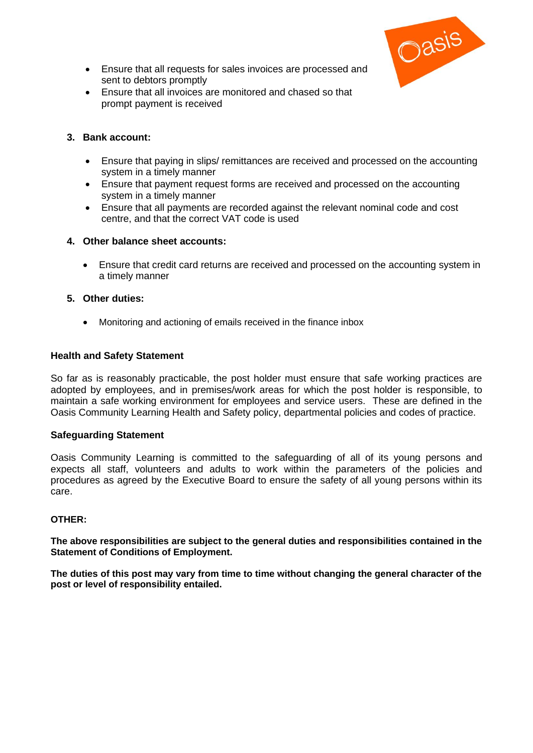

- Ensure that all requests for sales invoices are processed and sent to debtors promptly
- Ensure that all invoices are monitored and chased so that prompt payment is received

#### **3. Bank account:**

- Ensure that paying in slips/ remittances are received and processed on the accounting system in a timely manner
- Ensure that payment request forms are received and processed on the accounting system in a timely manner
- Ensure that all payments are recorded against the relevant nominal code and cost centre, and that the correct VAT code is used

#### **4. Other balance sheet accounts:**

• Ensure that credit card returns are received and processed on the accounting system in a timely manner

#### **5. Other duties:**

• Monitoring and actioning of emails received in the finance inbox

#### **Health and Safety Statement**

So far as is reasonably practicable, the post holder must ensure that safe working practices are adopted by employees, and in premises/work areas for which the post holder is responsible, to maintain a safe working environment for employees and service users. These are defined in the Oasis Community Learning Health and Safety policy, departmental policies and codes of practice.

#### **Safeguarding Statement**

Oasis Community Learning is committed to the safeguarding of all of its young persons and expects all staff, volunteers and adults to work within the parameters of the policies and procedures as agreed by the Executive Board to ensure the safety of all young persons within its care.

#### **OTHER:**

**The above responsibilities are subject to the general duties and responsibilities contained in the Statement of Conditions of Employment.**

**The duties of this post may vary from time to time without changing the general character of the post or level of responsibility entailed.**